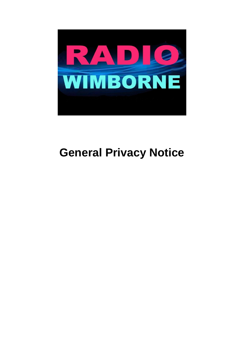

# **General Privacy Notice**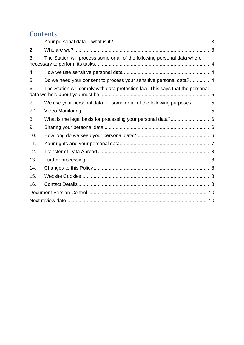# **Contents**

| 1.  |                                                                               |  |  |  |
|-----|-------------------------------------------------------------------------------|--|--|--|
| 2.  |                                                                               |  |  |  |
| 3.  | The Station will process some or all of the following personal data where     |  |  |  |
| 4.  |                                                                               |  |  |  |
| 5.  | Do we need your consent to process your sensitive personal data?  4           |  |  |  |
| 6.  | The Station will comply with data protection law. This says that the personal |  |  |  |
| 7.  | We use your personal data for some or all of the following purposes:5         |  |  |  |
| 7.1 |                                                                               |  |  |  |
| 8.  |                                                                               |  |  |  |
| 9.  |                                                                               |  |  |  |
| 10. |                                                                               |  |  |  |
| 11. |                                                                               |  |  |  |
| 12. |                                                                               |  |  |  |
| 13. |                                                                               |  |  |  |
| 14. |                                                                               |  |  |  |
| 15. |                                                                               |  |  |  |
| 16. |                                                                               |  |  |  |
|     |                                                                               |  |  |  |
|     |                                                                               |  |  |  |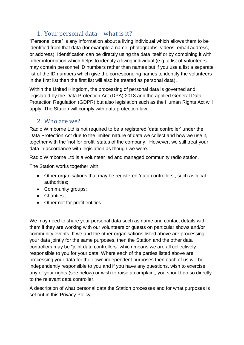### 1. Your personal data – what is it?

<span id="page-2-0"></span>"Personal data" is any information about a living individual which allows them to be identified from that data (for example a name, photographs, videos, email address, or address). Identification can be directly using the data itself or by combining it with other information which helps to identify a living individual (e.g. a list of volunteers may contain personnel ID numbers rather than names but if you use a list a separate list of the ID numbers which give the corresponding names to identify the volunteers in the first list then the first list will also be treated as personal data).

Within the United Kingdom, the processing of personal data is governed and legislated by the Data Protection Act (DPA) 2018 and the applied General Data Protection Regulation (GDPR) but also legislation such as the Human Rights Act will apply. The Station will comply with data protection law.

#### <span id="page-2-1"></span>2. Who are we?

Radio Wimborne Ltd is not required to be a registered 'data controller' under the Data Protection Act due to the limited nature of data we collect and how we use it, together with the 'not for profit' status of the company. However, we still treat your data in accordance with legislation as though we were.

Radio Wimborne Ltd is a volunteer led and managed community radio station.

The Station works together with:

- Other organisations that may be registered 'data controllers', such as local authorities;
- Community groups;
- Charities :
- Other not for profit entities.

We may need to share your personal data such as name and contact details with them if they are working with our volunteers or guests on particular shows and/or community events. If we and the other organisations listed above are processing your data jointly for the same purposes, then the Station and the other data controllers may be "joint data controllers" which means we are all collectively responsible to you for your data. Where each of the parties listed above are processing your data for their own independent purposes then each of us will be independently responsible to you and if you have any questions, wish to exercise any of your rights (see below) or wish to raise a complaint, you should do so directly to the relevant data controller.

A description of what personal data the Station processes and for what purposes is set out in this Privacy Policy.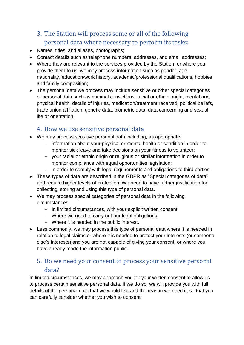# <span id="page-3-0"></span>3. The Station will process some or all of the following personal data where necessary to perform its tasks:

- Names, titles, and aliases, photographs;
- Contact details such as telephone numbers, addresses, and email addresses;
- Where they are relevant to the services provided by the Station, or where you provide them to us, we may process information such as gender, age, nationality, education/work history, academic/professional qualifications, hobbies and family composition;
- The personal data we process may include sensitive or other special categories of personal data such as criminal convictions, racial or ethnic origin, mental and physical health, details of injuries, medication/treatment received, political beliefs, trade union affiliation, genetic data, biometric data, data concerning and sexual life or orientation.

### <span id="page-3-1"></span>4. How we use sensitive personal data

- We may process sensitive personal data including, as appropriate:
	- information about your physical or mental health or condition in order to monitor sick leave and take decisions on your fitness to volunteer;
	- your racial or ethnic origin or religious or similar information in order to monitor compliance with equal opportunities legislation;
	- in order to comply with legal requirements and obligations to third parties.
- These types of data are described in the GDPR as "Special categories of data" and require higher levels of protection. We need to have further justification for collecting, storing and using this type of personal data.
- We may process special categories of personal data in the following circumstances:
	- In limited circumstances, with your explicit written consent.
	- Where we need to carry out our legal obligations.
	- Where it is needed in the public interest.
- Less commonly, we may process this type of personal data where it is needed in relation to legal claims or where it is needed to protect your interests (or someone else's interests) and you are not capable of giving your consent, or where you have already made the information public.

### <span id="page-3-2"></span>5. Do we need your consent to process your sensitive personal data?

In limited circumstances, we may approach you for your written consent to allow us to process certain sensitive personal data. If we do so, we will provide you with full details of the personal data that we would like and the reason we need it, so that you can carefully consider whether you wish to consent.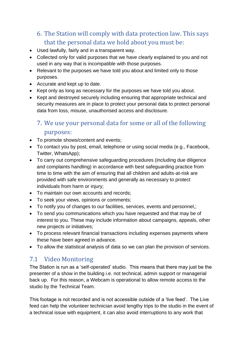# <span id="page-4-0"></span>6. The Station will comply with data protection law. This says that the personal data we hold about you must be:

- Used lawfully, fairly and in a transparent way.
- Collected only for valid purposes that we have clearly explained to you and not used in any way that is incompatible with those purposes.
- Relevant to the purposes we have told you about and limited only to those purposes.
- Accurate and kept up to date.
- Kept only as long as necessary for the purposes we have told you about.
- Kept and destroyed securely including ensuring that appropriate technical and security measures are in place to protect your personal data to protect personal data from loss, misuse, unauthorised access and disclosure.

### <span id="page-4-1"></span>7. We use your personal data for some or all of the following purposes:

- To promote shows/content and events;
- To contact you by post, email, telephone or using social media (e.g., Facebook, Twitter, WhatsApp);
- To carry out comprehensive safeguarding procedures (including due diligence and complaints handling) in accordance with best safeguarding practice from time to time with the aim of ensuring that all children and adults-at-risk are provided with safe environments and generally as necessary to protect individuals from harm or injury;
- To maintain our own accounts and records:
- To seek your views, opinions or comments;
- To notify you of changes to our facilities, services, events and personnel,;
- To send you communications which you have requested and that may be of interest to you. These may include information about campaigns, appeals, other new projects or initiatives;
- To process relevant financial transactions including expenses payments where these have been agreed in advance.
- To allow the statistical analysis of data so we can plan the provision of services.

### <span id="page-4-2"></span>7.1 Video Monitoring

The Station is run as a 'self-operated' studio. This means that there may just be the presenter of a show in the building i.e. not technical, admin support or managerial back up. For this reason, a Webcam is operational to allow remote access to the studio by the Technical Team.

This footage is not recorded and is not accessible outside of a 'live feed'. The Live feed can help the volunteer technician avoid lengthy trips to the studio in the event of a technical issue with equipment, it can also avoid interruptions to any work that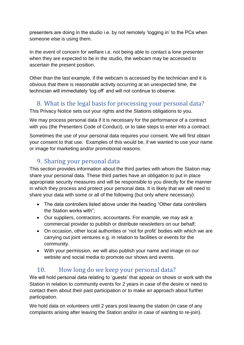presenters are doing in the studio i.e. by not remotely 'logging in' to the PCs when someone else is using them.

In the event of concern for welfare i.e. not being able to contact a lone presenter when they are expected to be in the studio, the webcam may be accessed to ascertain the present position.

Other than the last example, if the webcam is accessed by the technician and it is obvious that there is reasonable activity occurring at an unexpected time, the technician will immediately 'log off' and will not continue to observe.

### <span id="page-5-0"></span>8. What is the legal basis for processing your personal data?

This Privacy Notice sets out your rights and the Stations obligations to you.

We may process personal data if it is necessary for the performance of a contract with you (the Presenters Code of Conduct), or to take steps to enter into a contract.

Sometimes the use of your personal data requires your consent. We will first obtain your consent to that use. Examples of this would be, if we wanted to use your name or image for marketing and/or promotional reasons.

### <span id="page-5-1"></span>9. Sharing your personal data

This section provides information about the third parties with whom the Station may share your personal data. These third parties have an obligation to put in place appropriate security measures and will be responsible to you directly for the manner in which they process and protect your personal data. It is likely that we will need to share your data with some or all of the following (but only where necessary):

- The data controllers listed above under the heading "Other data controllers the Station works with";
- Our suppliers, contractors, accountants. For example, we may ask a commercial provider to publish or distribute newsletters on our behalf;
- On occasion, other local authorities or 'not for profit' bodies with which we are carrying out joint ventures e.g. in relation to facilities or events for the community.
- With your permission, we will also publish your name and image on our website and social media to promote our shows and events.

### <span id="page-5-2"></span>10. How long do we keep your personal data?

We will hold personal data relating to 'guests' that appear on shows or work with the Station in relation to community events for 2 years in case of the desire or need to contact them about their past participation or to make an approach about further participation.

We hold data on volunteers until 2 years post leaving the station (in case of any complaints arising after leaving the Station and/or in case of wanting to re-join).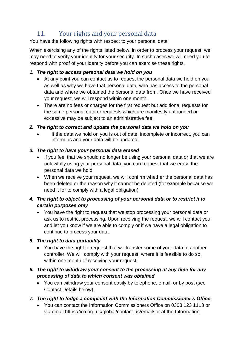# <span id="page-6-0"></span>11. Your rights and your personal data

You have the following rights with respect to your personal data:

When exercising any of the rights listed below, in order to process your request, we may need to verify your identity for your security. In such cases we will need you to respond with proof of your identity before you can exercise these rights.

#### *1. The right to access personal data we hold on you*

- At any point you can contact us to request the personal data we hold on you as well as why we have that personal data, who has access to the personal data and where we obtained the personal data from. Once we have received your request, we will respond within one month.
- There are no fees or charges for the first request but additional requests for the same personal data or requests which are manifestly unfounded or excessive may be subject to an administrative fee.

#### *2. The right to correct and update the personal data we hold on you*

 If the data we hold on you is out of date, incomplete or incorrect, you can inform us and your data will be updated.

#### *3. The right to have your personal data erased*

- If you feel that we should no longer be using your personal data or that we are unlawfully using your personal data, you can request that we erase the personal data we hold.
- When we receive your request, we will confirm whether the personal data has been deleted or the reason why it cannot be deleted (for example because we need it for to comply with a legal obligation).

#### *4. The right to object to processing of your personal data or to restrict it to certain purposes only*

 You have the right to request that we stop processing your personal data or ask us to restrict processing. Upon receiving the request, we will contact you and let you know if we are able to comply or if we have a legal obligation to continue to process your data.

#### *5. The right to data portability*

 You have the right to request that we transfer some of your data to another controller. We will comply with your request, where it is feasible to do so, within one month of receiving your request.

#### *6. The right to withdraw your consent to the processing at any time for any processing of data to which consent was obtained*

 You can withdraw your consent easily by telephone, email, or by post (see Contact Details below).

#### *7. The right to lodge a complaint with the Information Commissioner's Office.*

 You can contact the Information Commissioners Office on 0303 123 1113 or via email https://ico.org.uk/global/contact-us/email/ or at the Information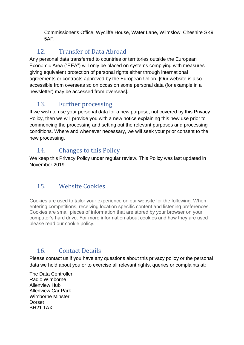Commissioner's Office, Wycliffe House, Water Lane, Wilmslow, Cheshire SK9 5AF.

## <span id="page-7-0"></span>12. Transfer of Data Abroad

Any personal data transferred to countries or territories outside the European Economic Area ("EEA") will only be placed on systems complying with measures giving equivalent protection of personal rights either through international agreements or contracts approved by the European Union. [Our website is also accessible from overseas so on occasion some personal data (for example in a newsletter) may be accessed from overseas].

# <span id="page-7-1"></span>13. Further processing

If we wish to use your personal data for a new purpose, not covered by this Privacy Policy, then we will provide you with a new notice explaining this new use prior to commencing the processing and setting out the relevant purposes and processing conditions. Where and whenever necessary, we will seek your prior consent to the new processing.

### <span id="page-7-2"></span>14. Changes to this Policy

We keep this Privacy Policy under regular review. This Policy was last updated in November 2019.

# <span id="page-7-3"></span>15. Website Cookies

Cookies are used to tailor your experience on our website for the following: When entering competitions, receiving location specific content and listening preferences. Cookies are small pieces of information that are stored by your browser on your computer's hard drive. For more information about cookies and how they are used please read our cookie policy.

# <span id="page-7-4"></span>16. Contact Details

Please contact us if you have any questions about this privacy policy or the personal data we hold about you or to exercise all relevant rights, queries or complaints at:

The Data Controller Radio Wimborne Allenview Hub Allenview Car Park Wimborne Minster Dorset BH21 1AX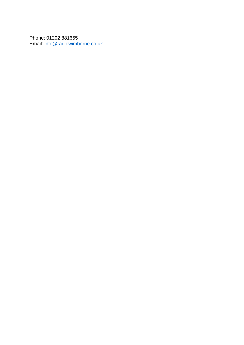Phone: 01202 881655 Email: [info@radiowimborne.co.uk](mailto:info@radiowimborne.co.uk)